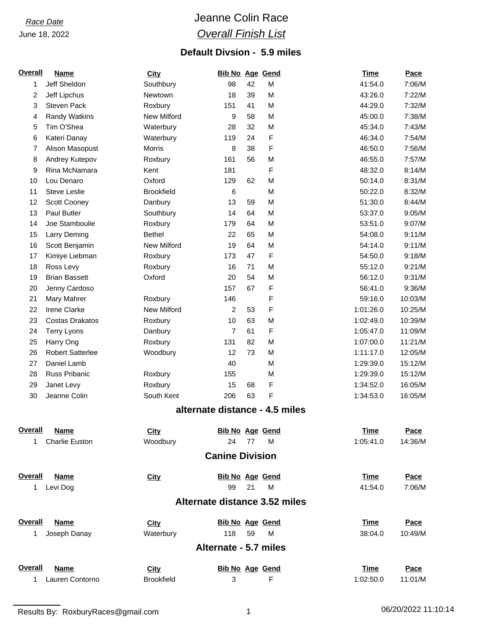June 18, 2022

## *Race Date* Jeanne Colin Race *Overall Finish List*

### **Default Divsion - 5.9 miles**

| <b>Overall</b> | <b>Name</b>             | <b>City</b>        | <b>Bib No Age Gend</b> |    |                                | <b>Time</b> | Pace    |
|----------------|-------------------------|--------------------|------------------------|----|--------------------------------|-------------|---------|
| 1              | Jeff Sheldon            | Southbury          | 98                     | 42 | M                              | 41:54.0     | 7:06/M  |
| 2              | Jeff Lipchus            | Newtown            | 18                     | 39 | M                              | 43:26.0     | 7:22/M  |
| 3              | Steven Pack             | Roxbury            | 151                    | 41 | M                              | 44:29.0     | 7:32/M  |
| 4              | <b>Randy Watkins</b>    | <b>New Milford</b> | 9                      | 58 | M                              | 45:00.0     | 7:38/M  |
| 5              | Tim O'Shea              | Waterbury          | 28                     | 32 | M                              | 45:34.0     | 7:43/M  |
| 6              | Kateri Danay            | Waterbury          | 119                    | 24 | F                              | 46:34.0     | 7:54/M  |
| 7              | Alison Masopust         | Morris             | 8                      | 38 | F                              | 46:50.0     | 7:56/M  |
| 8              | Andrey Kutepov          | Roxbury            | 161                    | 56 | M                              | 46:55.0     | 7:57/M  |
| 9              | Rina McNamara           | Kent               | 181                    |    | F                              | 48:32.0     | 8:14/M  |
| 10             | Lou Denaro              | Oxford             | 129                    | 62 | M                              | 50:14.0     | 8:31/M  |
| 11             | <b>Steve Leslie</b>     | <b>Brookfield</b>  | 6                      |    | M                              | 50:22.0     | 8:32/M  |
| 12             | Scott Cooney            | Danbury            | 13                     | 59 | M                              | 51:30.0     | 8:44/M  |
| 13             | Paul Butler             | Southbury          | 14                     | 64 | M                              | 53:37.0     | 9:05/M  |
| 14             | Joe Stamboulie          | Roxbury            | 179                    | 64 | M                              | 53:51.0     | 9:07/M  |
| 15             | Larry Deming            | <b>Bethel</b>      | 22                     | 65 | M                              | 54:08.0     | 9:11/M  |
| 16             | Scott Benjamin          | New Milford        | 19                     | 64 | M                              | 54:14.0     | 9:11/M  |
| 17             | Kimiye Liebman          | Roxbury            | 173                    | 47 | F                              | 54:50.0     | 9:18/M  |
| 18             | Ross Levy               | Roxbury            | 16                     | 71 | M                              | 55:12.0     | 9:21/M  |
| 19             | <b>Brian Bassett</b>    | Oxford             | 20                     | 54 | M                              | 56:12.0     | 9:31/M  |
| 20             | Jenny Cardoso           |                    | 157                    | 67 | F                              | 56:41.0     | 9:36/M  |
| 21             | Mary Mahrer             | Roxbury            | 146                    |    | F                              | 59:16.0     | 10:03/M |
| 22             | Irene Clarke            | New Milford        | 2                      | 53 | F                              | 1:01:26.0   | 10:25/M |
| 23             | <b>Costas Drakatos</b>  | Roxbury            | 10                     | 63 | M                              | 1:02:49.0   | 10:39/M |
| 24             | <b>Terry Lyons</b>      | Danbury            | $\overline{7}$         | 61 | F                              | 1:05:47.0   | 11:09/M |
| 25             | Harry Ong               | Roxbury            | 131                    | 82 | M                              | 1:07:00.0   | 11:21/M |
| 26             | <b>Robert Satterlee</b> | Woodbury           | 12                     | 73 | M                              | 1:11:17.0   | 12:05/M |
| 27             | Daniel Lamb             |                    | 40                     |    | M                              | 1:29:39.0   | 15:12/M |
| 28             | <b>Russ Pribanic</b>    | Roxbury            | 155                    |    | M                              | 1:29:39.0   | 15:12/M |
| 29             | Janet Levy              | Roxbury            | 15                     | 68 | F                              | 1:34:52.0   | 16:05/M |
| 30             | Jeanne Colin            | South Kent         | 206                    | 63 | F                              | 1:34:53.0   | 16:05/M |
|                |                         |                    |                        |    | alternate distance - 4.5 miles |             |         |
| Overall        | <b>Name</b>             | City               | <b>Bib No Age Gend</b> |    |                                | <b>Time</b> | Pace    |
| 1.             | <b>Charlie Euston</b>   | Woodbury           | 24                     | 77 | M                              | 1:05:41.0   | 14:36/M |
|                |                         |                    | <b>Canine Division</b> |    |                                |             |         |
| Overall        | <b>Name</b>             | <b>City</b>        | <b>Bib No Age Gend</b> |    |                                | <b>Time</b> | Pace    |
| 1              | Levi Dog                |                    | 99                     | 21 | M                              | 41:54.0     | 7:06/M  |
|                |                         |                    |                        |    | Alternate distance 3.52 miles  |             |         |
| <b>Overall</b> | <b>Name</b>             | <b>City</b>        | <b>Bib No Age Gend</b> |    |                                | <b>Time</b> | Pace    |
| 1              | Joseph Danay            | Waterbury          | 118                    | 59 | M                              | 38:04.0     | 10:49/M |
|                |                         |                    | Alternate - 5.7 miles  |    |                                |             |         |
| Overall        | <b>Name</b>             | City               | <b>Bib No Age Gend</b> |    |                                | <b>Time</b> | Pace    |
| 1              | Lauren Contorno         | <b>Brookfield</b>  | 3                      |    | F                              | 1:02:50.0   | 11:01/M |

Results By: RoxburyRaces@gmail.com 1 1 1 1 06/20/2022 11:10:14